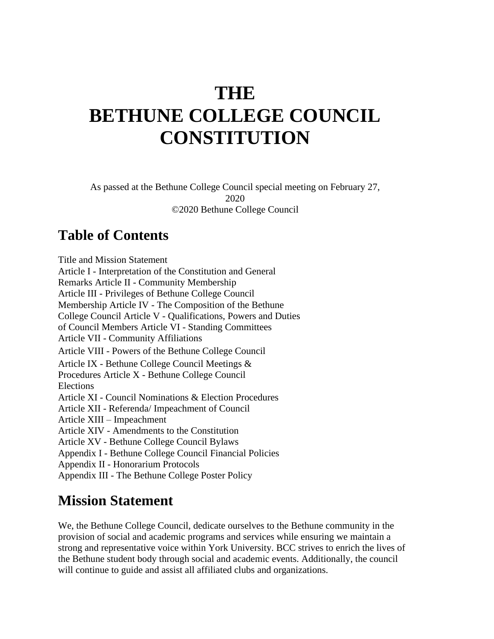# **THE BETHUNE COLLEGE COUNCIL CONSTITUTION**

As passed at the Bethune College Council special meeting on February 27, 2020 ©2020 Bethune College Council

### **Table of Contents**

Title and Mission Statement Article I - Interpretation of the Constitution and General Remarks Article II - Community Membership Article III - Privileges of Bethune College Council Membership Article IV - The Composition of the Bethune College Council Article V - Qualifications, Powers and Duties of Council Members Article VI - Standing Committees Article VII - Community Affiliations Article VIII - Powers of the Bethune College Council Article IX - Bethune College Council Meetings & Procedures Article X - Bethune College Council Elections Article XI - Council Nominations & Election Procedures Article XII - Referenda/ Impeachment of Council Article XIII – Impeachment Article XIV - Amendments to the Constitution Article XV - Bethune College Council Bylaws Appendix I - Bethune College Council Financial Policies Appendix II - Honorarium Protocols Appendix III - The Bethune College Poster Policy

### **Mission Statement**

We, the Bethune College Council, dedicate ourselves to the Bethune community in the provision of social and academic programs and services while ensuring we maintain a strong and representative voice within York University. BCC strives to enrich the lives of the Bethune student body through social and academic events. Additionally, the council will continue to guide and assist all affiliated clubs and organizations.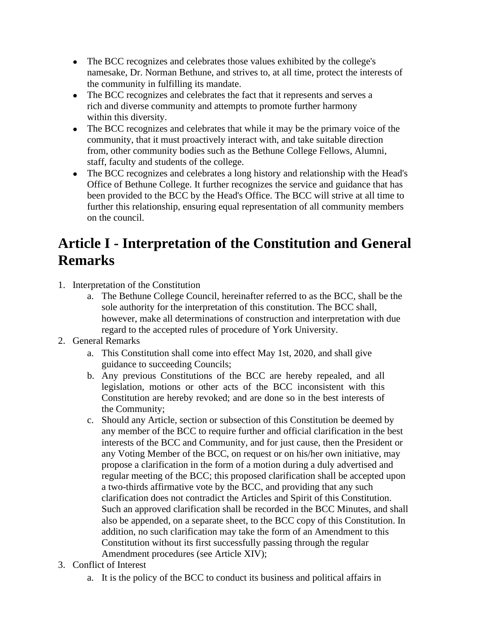- The BCC recognizes and celebrates those values exhibited by the college's namesake, Dr. Norman Bethune, and strives to, at all time, protect the interests of the community in fulfilling its mandate.
- The BCC recognizes and celebrates the fact that it represents and serves a rich and diverse community and attempts to promote further harmony within this diversity.
- The BCC recognizes and celebrates that while it may be the primary voice of the community, that it must proactively interact with, and take suitable direction from, other community bodies such as the Bethune College Fellows, Alumni, staff, faculty and students of the college.
- The BCC recognizes and celebrates a long history and relationship with the Head's Office of Bethune College. It further recognizes the service and guidance that has been provided to the BCC by the Head's Office. The BCC will strive at all time to further this relationship, ensuring equal representation of all community members on the council.

### **Article I - Interpretation of the Constitution and General Remarks**

- 1. Interpretation of the Constitution
	- a. The Bethune College Council, hereinafter referred to as the BCC, shall be the sole authority for the interpretation of this constitution. The BCC shall, however, make all determinations of construction and interpretation with due regard to the accepted rules of procedure of York University.
- 2. General Remarks
	- a. This Constitution shall come into effect May 1st, 2020, and shall give guidance to succeeding Councils;
	- b. Any previous Constitutions of the BCC are hereby repealed, and all legislation, motions or other acts of the BCC inconsistent with this Constitution are hereby revoked; and are done so in the best interests of the Community;
	- c. Should any Article, section or subsection of this Constitution be deemed by any member of the BCC to require further and official clarification in the best interests of the BCC and Community, and for just cause, then the President or any Voting Member of the BCC, on request or on his/her own initiative, may propose a clarification in the form of a motion during a duly advertised and regular meeting of the BCC; this proposed clarification shall be accepted upon a two-thirds affirmative vote by the BCC, and providing that any such clarification does not contradict the Articles and Spirit of this Constitution. Such an approved clarification shall be recorded in the BCC Minutes, and shall also be appended, on a separate sheet, to the BCC copy of this Constitution. In addition, no such clarification may take the form of an Amendment to this Constitution without its first successfully passing through the regular Amendment procedures (see Article XIV);
- 3. Conflict of Interest
	- a. It is the policy of the BCC to conduct its business and political affairs in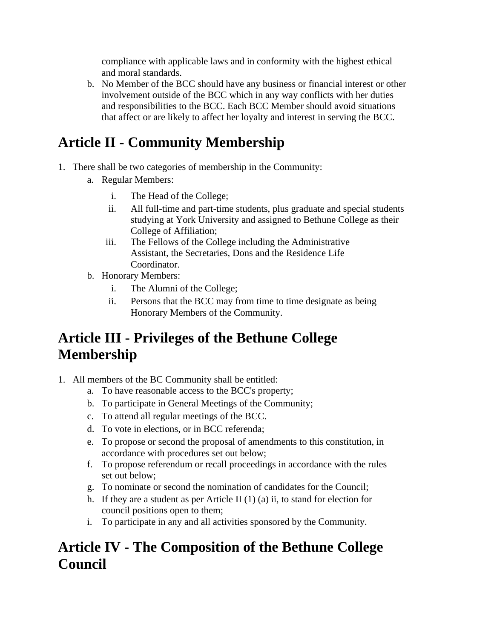compliance with applicable laws and in conformity with the highest ethical and moral standards.

b. No Member of the BCC should have any business or financial interest or other involvement outside of the BCC which in any way conflicts with her duties and responsibilities to the BCC. Each BCC Member should avoid situations that affect or are likely to affect her loyalty and interest in serving the BCC.

# **Article II - Community Membership**

- 1. There shall be two categories of membership in the Community:
	- a. Regular Members:
		- i. The Head of the College;
		- ii. All full-time and part-time students, plus graduate and special students studying at York University and assigned to Bethune College as their College of Affiliation;
		- iii. The Fellows of the College including the Administrative Assistant, the Secretaries, Dons and the Residence Life Coordinator.
	- b. Honorary Members:
		- i. The Alumni of the College;
		- ii. Persons that the BCC may from time to time designate as being Honorary Members of the Community.

### **Article III - Privileges of the Bethune College Membership**

- 1. All members of the BC Community shall be entitled:
	- a. To have reasonable access to the BCC's property;
	- b. To participate in General Meetings of the Community;
	- c. To attend all regular meetings of the BCC.
	- d. To vote in elections, or in BCC referenda;
	- e. To propose or second the proposal of amendments to this constitution, in accordance with procedures set out below;
	- f. To propose referendum or recall proceedings in accordance with the rules set out below;
	- g. To nominate or second the nomination of candidates for the Council;
	- h. If they are a student as per Article II  $(1)$   $(a)$  ii, to stand for election for council positions open to them;
	- i. To participate in any and all activities sponsored by the Community.

### **Article IV - The Composition of the Bethune College Council**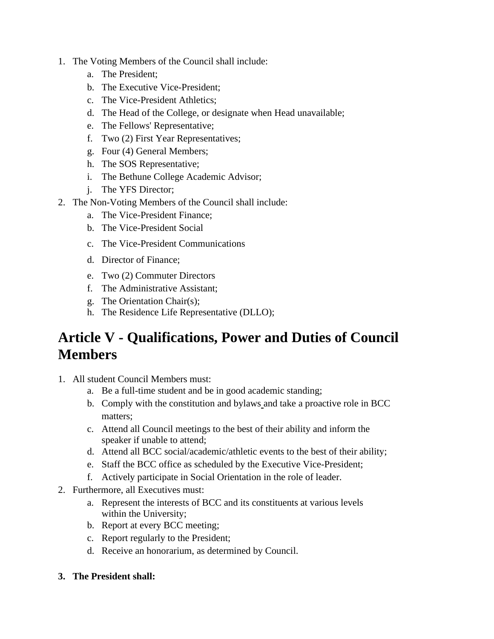- 1. The Voting Members of the Council shall include:
	- a. The President;
	- b. The Executive Vice-President;
	- c. The Vice-President Athletics;
	- d. The Head of the College, or designate when Head unavailable;
	- e. The Fellows' Representative;
	- f. Two (2) First Year Representatives;
	- g. Four (4) General Members;
	- h. The SOS Representative;
	- i. The Bethune College Academic Advisor;
	- j. The YFS Director;
- 2. The Non-Voting Members of the Council shall include:
	- a. The Vice-President Finance;
	- b. The Vice-President Social
	- c. The Vice-President Communications
	- d. Director of Finance;
	- e. Two (2) Commuter Directors
	- f. The Administrative Assistant;
	- g. The Orientation Chair(s);
	- h. The Residence Life Representative (DLLO);

### **Article V - Qualifications, Power and Duties of Council Members**

- 1. All student Council Members must:
	- a. Be a full-time student and be in good academic standing;
	- b. Comply with the constitution and bylaws and take a proactive role in BCC matters;
	- c. Attend all Council meetings to the best of their ability and inform the speaker if unable to attend;
	- d. Attend all BCC social/academic/athletic events to the best of their ability;
	- e. Staff the BCC office as scheduled by the Executive Vice-President;
	- f. Actively participate in Social Orientation in the role of leader.
- 2. Furthermore, all Executives must:
	- a. Represent the interests of BCC and its constituents at various levels within the University;
	- b. Report at every BCC meeting;
	- c. Report regularly to the President;
	- d. Receive an honorarium, as determined by Council.
- **3. The President shall:**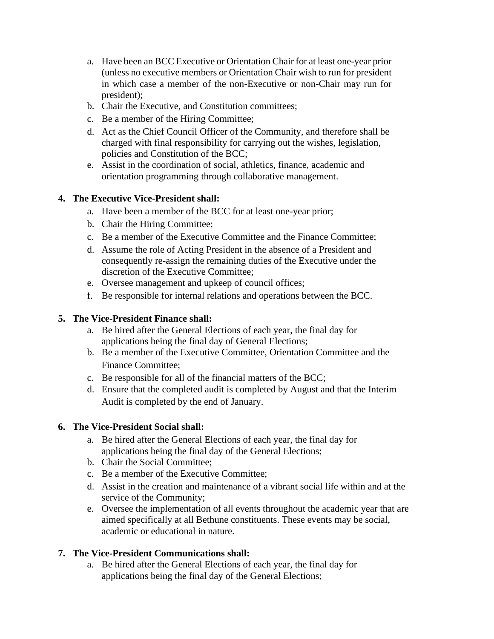- a. Have been an BCC Executive or Orientation Chair for at least one-year prior (unless no executive members or Orientation Chair wish to run for president in which case a member of the non-Executive or non-Chair may run for president);
- b. Chair the Executive, and Constitution committees;
- c. Be a member of the Hiring Committee;
- d. Act as the Chief Council Officer of the Community, and therefore shall be charged with final responsibility for carrying out the wishes, legislation, policies and Constitution of the BCC;
- e. Assist in the coordination of social, athletics, finance, academic and orientation programming through collaborative management.

#### **4. The Executive Vice-President shall:**

- a. Have been a member of the BCC for at least one-year prior;
- b. Chair the Hiring Committee;
- c. Be a member of the Executive Committee and the Finance Committee;
- d. Assume the role of Acting President in the absence of a President and consequently re-assign the remaining duties of the Executive under the discretion of the Executive Committee;
- e. Oversee management and upkeep of council offices;
- f. Be responsible for internal relations and operations between the BCC.

#### **5. The Vice-President Finance shall:**

- a. Be hired after the General Elections of each year, the final day for applications being the final day of General Elections;
- b. Be a member of the Executive Committee, Orientation Committee and the Finance Committee;
- c. Be responsible for all of the financial matters of the BCC;
- d. Ensure that the completed audit is completed by August and that the Interim Audit is completed by the end of January.

#### **6. The Vice-President Social shall:**

- a. Be hired after the General Elections of each year, the final day for applications being the final day of the General Elections;
- b. Chair the Social Committee;
- c. Be a member of the Executive Committee;
- d. Assist in the creation and maintenance of a vibrant social life within and at the service of the Community;
- e. Oversee the implementation of all events throughout the academic year that are aimed specifically at all Bethune constituents. These events may be social, academic or educational in nature.

#### **7. The Vice-President Communications shall:**

a. Be hired after the General Elections of each year, the final day for applications being the final day of the General Elections;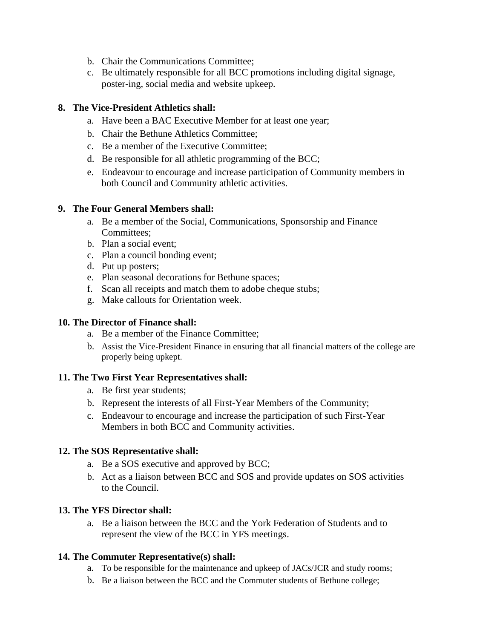- b. Chair the Communications Committee;
- c. Be ultimately responsible for all BCC promotions including digital signage, poster-ing, social media and website upkeep.

#### **8. The Vice-President Athletics shall:**

- a. Have been a BAC Executive Member for at least one year;
- b. Chair the Bethune Athletics Committee;
- c. Be a member of the Executive Committee;
- d. Be responsible for all athletic programming of the BCC;
- e. Endeavour to encourage and increase participation of Community members in both Council and Community athletic activities.

#### **9. The Four General Members shall:**

- a. Be a member of the Social, Communications, Sponsorship and Finance Committees;
- b. Plan a social event;
- c. Plan a council bonding event;
- d. Put up posters;
- e. Plan seasonal decorations for Bethune spaces;
- f. Scan all receipts and match them to adobe cheque stubs;
- g. Make callouts for Orientation week.

#### **10. The Director of Finance shall:**

- a. Be a member of the Finance Committee;
- b. Assist the Vice-President Finance in ensuring that all financial matters of the college are properly being upkept.

#### **11. The Two First Year Representatives shall:**

- a. Be first year students;
- b. Represent the interests of all First-Year Members of the Community;
- c. Endeavour to encourage and increase the participation of such First-Year Members in both BCC and Community activities.

#### **12. The SOS Representative shall:**

- a. Be a SOS executive and approved by BCC;
- b. Act as a liaison between BCC and SOS and provide updates on SOS activities to the Council.

#### **13. The YFS Director shall:**

a. Be a liaison between the BCC and the York Federation of Students and to represent the view of the BCC in YFS meetings.

#### **14. The Commuter Representative(s) shall:**

- a. To be responsible for the maintenance and upkeep of JACs/JCR and study rooms;
- b. Be a liaison between the BCC and the Commuter students of Bethune college;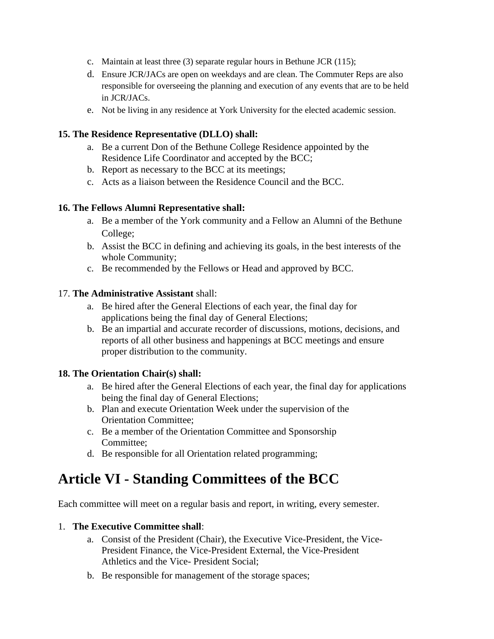- c. Maintain at least three (3) separate regular hours in Bethune JCR (115);
- d. Ensure JCR/JACs are open on weekdays and are clean. The Commuter Reps are also responsible for overseeing the planning and execution of any events that are to be held in JCR/JACs.
- e. Not be living in any residence at York University for the elected academic session.

#### **15. The Residence Representative (DLLO) shall:**

- a. Be a current Don of the Bethune College Residence appointed by the Residence Life Coordinator and accepted by the BCC;
- b. Report as necessary to the BCC at its meetings;
- c. Acts as a liaison between the Residence Council and the BCC.

#### **16. The Fellows Alumni Representative shall:**

- a. Be a member of the York community and a Fellow an Alumni of the Bethune College;
- b. Assist the BCC in defining and achieving its goals, in the best interests of the whole Community;
- c. Be recommended by the Fellows or Head and approved by BCC.

#### 17. **The Administrative Assistant** shall:

- a. Be hired after the General Elections of each year, the final day for applications being the final day of General Elections;
- b. Be an impartial and accurate recorder of discussions, motions, decisions, and reports of all other business and happenings at BCC meetings and ensure proper distribution to the community.

#### **18. The Orientation Chair(s) shall:**

- a. Be hired after the General Elections of each year, the final day for applications being the final day of General Elections;
- b. Plan and execute Orientation Week under the supervision of the Orientation Committee;
- c. Be a member of the Orientation Committee and Sponsorship Committee;
- d. Be responsible for all Orientation related programming;

### **Article VI - Standing Committees of the BCC**

Each committee will meet on a regular basis and report, in writing, every semester.

#### 1. **The Executive Committee shall**:

- a. Consist of the President (Chair), the Executive Vice-President, the Vice-President Finance, the Vice-President External, the Vice-President Athletics and the Vice- President Social;
- b. Be responsible for management of the storage spaces;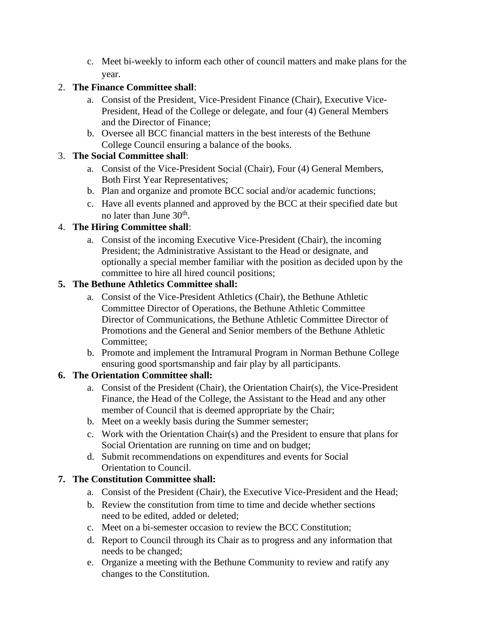c. Meet bi-weekly to inform each other of council matters and make plans for the year.

#### 2. **The Finance Committee shall**:

- a. Consist of the President, Vice-President Finance (Chair), Executive Vice-President, Head of the College or delegate, and four (4) General Members and the Director of Finance;
- b. Oversee all BCC financial matters in the best interests of the Bethune College Council ensuring a balance of the books.

#### 3. **The Social Committee shall**:

- a. Consist of the Vice-President Social (Chair), Four (4) General Members, Both First Year Representatives;
- b. Plan and organize and promote BCC social and/or academic functions;
- c. Have all events planned and approved by the BCC at their specified date but no later than June 30<sup>th</sup>.

#### 4. **The Hiring Committee shall**:

a. Consist of the incoming Executive Vice-President (Chair), the incoming President; the Administrative Assistant to the Head or designate, and optionally a special member familiar with the position as decided upon by the committee to hire all hired council positions;

#### **5. The Bethune Athletics Committee shall:**

- a. Consist of the Vice-President Athletics (Chair), the Bethune Athletic Committee Director of Operations, the Bethune Athletic Committee Director of Communications, the Bethune Athletic Committee Director of Promotions and the General and Senior members of the Bethune Athletic Committee;
- b. Promote and implement the Intramural Program in Norman Bethune College ensuring good sportsmanship and fair play by all participants.

#### **6. The Orientation Committee shall:**

- a. Consist of the President (Chair), the Orientation Chair(s), the Vice-President Finance, the Head of the College, the Assistant to the Head and any other member of Council that is deemed appropriate by the Chair;
- b. Meet on a weekly basis during the Summer semester;
- c. Work with the Orientation Chair(s) and the President to ensure that plans for Social Orientation are running on time and on budget;
- d. Submit recommendations on expenditures and events for Social Orientation to Council.

#### **7. The Constitution Committee shall:**

- a. Consist of the President (Chair), the Executive Vice-President and the Head;
- b. Review the constitution from time to time and decide whether sections need to be edited, added or deleted;
- c. Meet on a bi-semester occasion to review the BCC Constitution;
- d. Report to Council through its Chair as to progress and any information that needs to be changed;
- e. Organize a meeting with the Bethune Community to review and ratify any changes to the Constitution.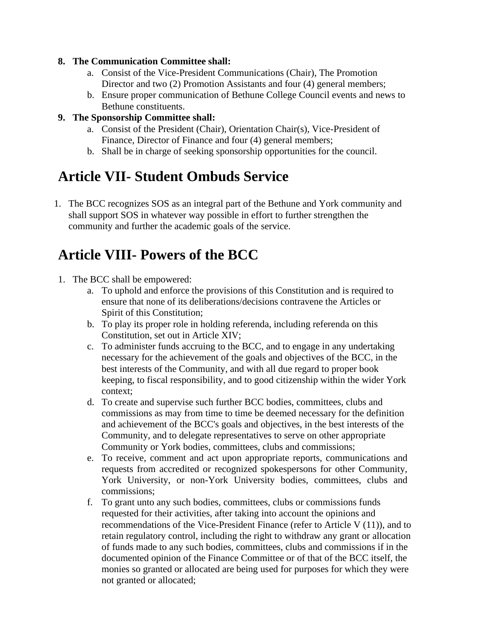#### **8. The Communication Committee shall:**

- a. Consist of the Vice-President Communications (Chair), The Promotion Director and two (2) Promotion Assistants and four (4) general members;
- b. Ensure proper communication of Bethune College Council events and news to Bethune constituents.

#### **9. The Sponsorship Committee shall:**

- a. Consist of the President (Chair), Orientation Chair(s), Vice-President of Finance, Director of Finance and four (4) general members;
- b. Shall be in charge of seeking sponsorship opportunities for the council.

### **Article VII- Student Ombuds Service**

1. The BCC recognizes SOS as an integral part of the Bethune and York community and shall support SOS in whatever way possible in effort to further strengthen the community and further the academic goals of the service.

### **Article VIII- Powers of the BCC**

- 1. The BCC shall be empowered:
	- a. To uphold and enforce the provisions of this Constitution and is required to ensure that none of its deliberations/decisions contravene the Articles or Spirit of this Constitution;
	- b. To play its proper role in holding referenda, including referenda on this Constitution, set out in Article XIV;
	- c. To administer funds accruing to the BCC, and to engage in any undertaking necessary for the achievement of the goals and objectives of the BCC, in the best interests of the Community, and with all due regard to proper book keeping, to fiscal responsibility, and to good citizenship within the wider York context;
	- d. To create and supervise such further BCC bodies, committees, clubs and commissions as may from time to time be deemed necessary for the definition and achievement of the BCC's goals and objectives, in the best interests of the Community, and to delegate representatives to serve on other appropriate Community or York bodies, committees, clubs and commissions;
	- e. To receive, comment and act upon appropriate reports, communications and requests from accredited or recognized spokespersons for other Community, York University, or non-York University bodies, committees, clubs and commissions;
	- f. To grant unto any such bodies, committees, clubs or commissions funds requested for their activities, after taking into account the opinions and recommendations of the Vice-President Finance (refer to Article V (11)), and to retain regulatory control, including the right to withdraw any grant or allocation of funds made to any such bodies, committees, clubs and commissions if in the documented opinion of the Finance Committee or of that of the BCC itself, the monies so granted or allocated are being used for purposes for which they were not granted or allocated;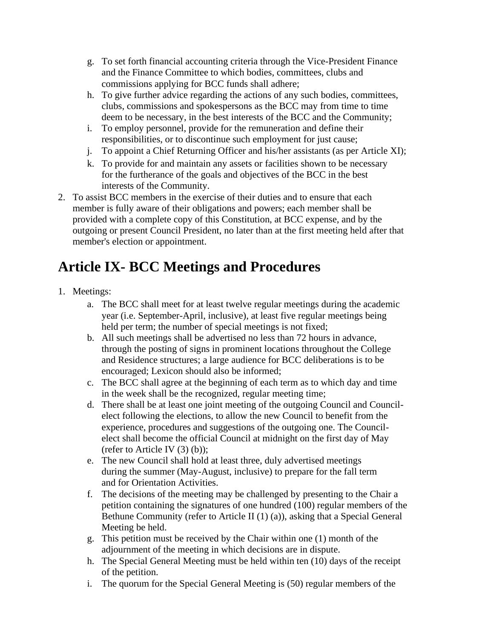- g. To set forth financial accounting criteria through the Vice-President Finance and the Finance Committee to which bodies, committees, clubs and commissions applying for BCC funds shall adhere;
- h. To give further advice regarding the actions of any such bodies, committees, clubs, commissions and spokespersons as the BCC may from time to time deem to be necessary, in the best interests of the BCC and the Community;
- i. To employ personnel, provide for the remuneration and define their responsibilities, or to discontinue such employment for just cause;
- j. To appoint a Chief Returning Officer and his/her assistants (as per Article XI);
- k. To provide for and maintain any assets or facilities shown to be necessary for the furtherance of the goals and objectives of the BCC in the best interests of the Community.
- 2. To assist BCC members in the exercise of their duties and to ensure that each member is fully aware of their obligations and powers; each member shall be provided with a complete copy of this Constitution, at BCC expense, and by the outgoing or present Council President, no later than at the first meeting held after that member's election or appointment.

# **Article IX- BCC Meetings and Procedures**

- 1. Meetings:
	- a. The BCC shall meet for at least twelve regular meetings during the academic year (i.e. September-April, inclusive), at least five regular meetings being held per term; the number of special meetings is not fixed;
	- b. All such meetings shall be advertised no less than 72 hours in advance, through the posting of signs in prominent locations throughout the College and Residence structures; a large audience for BCC deliberations is to be encouraged; Lexicon should also be informed;
	- c. The BCC shall agree at the beginning of each term as to which day and time in the week shall be the recognized, regular meeting time;
	- d. There shall be at least one joint meeting of the outgoing Council and Councilelect following the elections, to allow the new Council to benefit from the experience, procedures and suggestions of the outgoing one. The Councilelect shall become the official Council at midnight on the first day of May (refer to Article IV $(3)$  $(b)$ );
	- e. The new Council shall hold at least three, duly advertised meetings during the summer (May-August, inclusive) to prepare for the fall term and for Orientation Activities.
	- f. The decisions of the meeting may be challenged by presenting to the Chair a petition containing the signatures of one hundred (100) regular members of the Bethune Community (refer to Article II (1) (a)), asking that a Special General Meeting be held.
	- g. This petition must be received by the Chair within one (1) month of the adjournment of the meeting in which decisions are in dispute.
	- h. The Special General Meeting must be held within ten (10) days of the receipt of the petition.
	- i. The quorum for the Special General Meeting is (50) regular members of the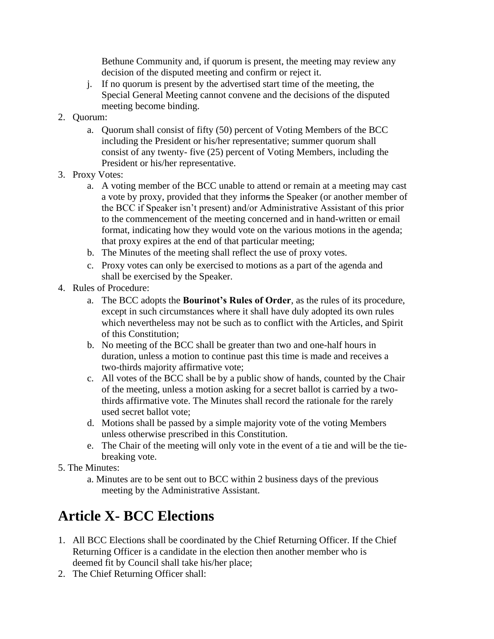Bethune Community and, if quorum is present, the meeting may review any decision of the disputed meeting and confirm or reject it.

- j. If no quorum is present by the advertised start time of the meeting, the Special General Meeting cannot convene and the decisions of the disputed meeting become binding.
- 2. Quorum:
	- a. Quorum shall consist of fifty (50) percent of Voting Members of the BCC including the President or his/her representative; summer quorum shall consist of any twenty- five (25) percent of Voting Members, including the President or his/her representative.
- 3. Proxy Votes:
	- a. A voting member of the BCC unable to attend or remain at a meeting may cast a vote by proxy, provided that they informs the Speaker (or another member of the BCC if Speaker isn't present) and/or Administrative Assistant of this prior to the commencement of the meeting concerned and in hand-written or email format, indicating how they would vote on the various motions in the agenda; that proxy expires at the end of that particular meeting;
	- b. The Minutes of the meeting shall reflect the use of proxy votes.
	- c. Proxy votes can only be exercised to motions as a part of the agenda and shall be exercised by the Speaker.
- 4. Rules of Procedure:
	- a. The BCC adopts the **Bourinot's Rules of Order**, as the rules of its procedure, except in such circumstances where it shall have duly adopted its own rules which nevertheless may not be such as to conflict with the Articles, and Spirit of this Constitution;
	- b. No meeting of the BCC shall be greater than two and one-half hours in duration, unless a motion to continue past this time is made and receives a two-thirds majority affirmative vote;
	- c. All votes of the BCC shall be by a public show of hands, counted by the Chair of the meeting, unless a motion asking for a secret ballot is carried by a twothirds affirmative vote. The Minutes shall record the rationale for the rarely used secret ballot vote;
	- d. Motions shall be passed by a simple majority vote of the voting Members unless otherwise prescribed in this Constitution.
	- e. The Chair of the meeting will only vote in the event of a tie and will be the tiebreaking vote.
- 5. The Minutes:
	- a. Minutes are to be sent out to BCC within 2 business days of the previous meeting by the Administrative Assistant.

### **Article X- BCC Elections**

- 1. All BCC Elections shall be coordinated by the Chief Returning Officer. If the Chief Returning Officer is a candidate in the election then another member who is deemed fit by Council shall take his/her place;
- 2. The Chief Returning Officer shall: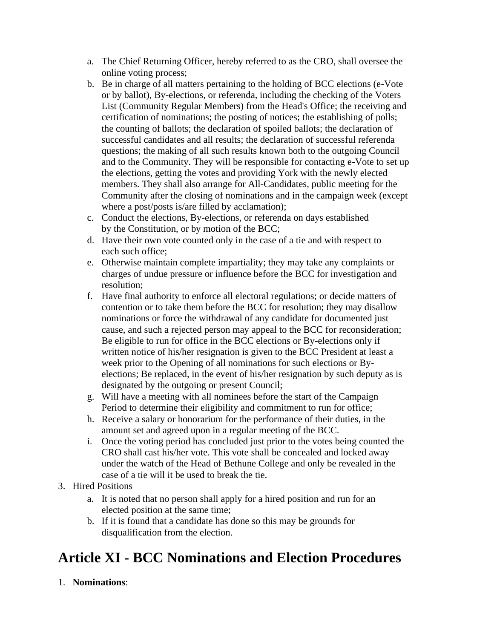- a. The Chief Returning Officer, hereby referred to as the CRO, shall oversee the online voting process;
- b. Be in charge of all matters pertaining to the holding of BCC elections (e-Vote or by ballot), By-elections, or referenda, including the checking of the Voters List (Community Regular Members) from the Head's Office; the receiving and certification of nominations; the posting of notices; the establishing of polls; the counting of ballots; the declaration of spoiled ballots; the declaration of successful candidates and all results; the declaration of successful referenda questions; the making of all such results known both to the outgoing Council and to the Community. They will be responsible for contacting e-Vote to set up the elections, getting the votes and providing York with the newly elected members. They shall also arrange for All-Candidates, public meeting for the Community after the closing of nominations and in the campaign week (except where a post/posts is/are filled by acclamation);
- c. Conduct the elections, By-elections, or referenda on days established by the Constitution, or by motion of the BCC;
- d. Have their own vote counted only in the case of a tie and with respect to each such office;
- e. Otherwise maintain complete impartiality; they may take any complaints or charges of undue pressure or influence before the BCC for investigation and resolution;
- f. Have final authority to enforce all electoral regulations; or decide matters of contention or to take them before the BCC for resolution; they may disallow nominations or force the withdrawal of any candidate for documented just cause, and such a rejected person may appeal to the BCC for reconsideration; Be eligible to run for office in the BCC elections or By-elections only if written notice of his/her resignation is given to the BCC President at least a week prior to the Opening of all nominations for such elections or Byelections; Be replaced, in the event of his/her resignation by such deputy as is designated by the outgoing or present Council;
- g. Will have a meeting with all nominees before the start of the Campaign Period to determine their eligibility and commitment to run for office;
- h. Receive a salary or honorarium for the performance of their duties, in the amount set and agreed upon in a regular meeting of the BCC.
- i. Once the voting period has concluded just prior to the votes being counted the CRO shall cast his/her vote. This vote shall be concealed and locked away under the watch of the Head of Bethune College and only be revealed in the case of a tie will it be used to break the tie.
- 3. Hired Positions
	- a. It is noted that no person shall apply for a hired position and run for an elected position at the same time;
	- b. If it is found that a candidate has done so this may be grounds for disqualification from the election.

### **Article XI - BCC Nominations and Election Procedures**

1. **Nominations**: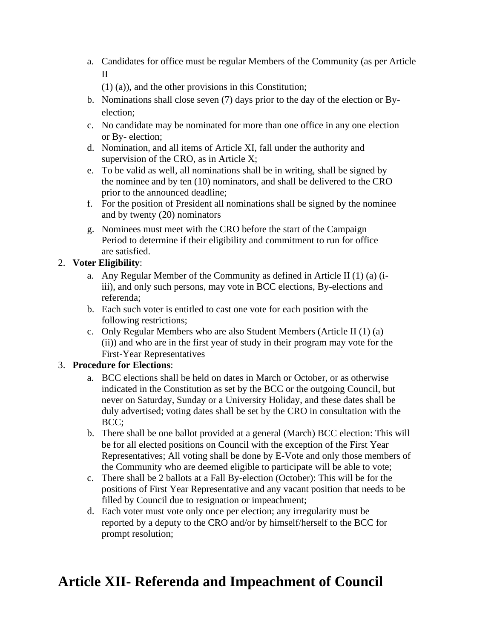- a. Candidates for office must be regular Members of the Community (as per Article II
	- (1) (a)), and the other provisions in this Constitution;
- b. Nominations shall close seven (7) days prior to the day of the election or Byelection;
- c. No candidate may be nominated for more than one office in any one election or By- election;
- d. Nomination, and all items of Article XI, fall under the authority and supervision of the CRO, as in Article X;
- e. To be valid as well, all nominations shall be in writing, shall be signed by the nominee and by ten (10) nominators, and shall be delivered to the CRO prior to the announced deadline;
- f. For the position of President all nominations shall be signed by the nominee and by twenty (20) nominators
- g. Nominees must meet with the CRO before the start of the Campaign Period to determine if their eligibility and commitment to run for office are satisfied.

#### 2. **Voter Eligibility**:

- a. Any Regular Member of the Community as defined in Article II (1) (a) (iiii), and only such persons, may vote in BCC elections, By-elections and referenda;
- b. Each such voter is entitled to cast one vote for each position with the following restrictions;
- c. Only Regular Members who are also Student Members (Article II (1) (a) (ii)) and who are in the first year of study in their program may vote for the First-Year Representatives

#### 3. **Procedure for Elections**:

- a. BCC elections shall be held on dates in March or October, or as otherwise indicated in the Constitution as set by the BCC or the outgoing Council, but never on Saturday, Sunday or a University Holiday, and these dates shall be duly advertised; voting dates shall be set by the CRO in consultation with the BCC;
- b. There shall be one ballot provided at a general (March) BCC election: This will be for all elected positions on Council with the exception of the First Year Representatives; All voting shall be done by E-Vote and only those members of the Community who are deemed eligible to participate will be able to vote;
- c. There shall be 2 ballots at a Fall By-election (October): This will be for the positions of First Year Representative and any vacant position that needs to be filled by Council due to resignation or impeachment;
- d. Each voter must vote only once per election; any irregularity must be reported by a deputy to the CRO and/or by himself/herself to the BCC for prompt resolution;

### **Article XII- Referenda and Impeachment of Council**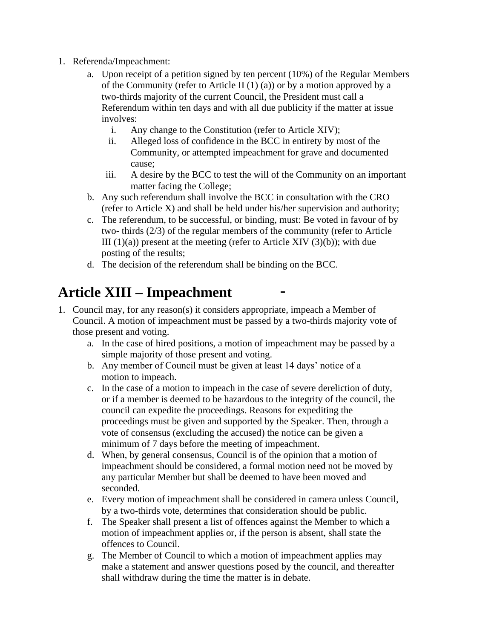- 1. Referenda/Impeachment:
	- a. Upon receipt of a petition signed by ten percent (10%) of the Regular Members of the Community (refer to Article II  $(1)$  (a)) or by a motion approved by a two-thirds majority of the current Council, the President must call a Referendum within ten days and with all due publicity if the matter at issue involves:
		- i. Any change to the Constitution (refer to Article XIV);
		- ii. Alleged loss of confidence in the BCC in entirety by most of the Community, or attempted impeachment for grave and documented cause;
		- iii. A desire by the BCC to test the will of the Community on an important matter facing the College;
	- b. Any such referendum shall involve the BCC in consultation with the CRO (refer to Article X) and shall be held under his/her supervision and authority;
	- c. The referendum, to be successful, or binding, must: Be voted in favour of by two- thirds (2/3) of the regular members of the community (refer to Article III  $(1)(a)$ ) present at the meeting (refer to Article XIV  $(3)(b)$ ); with due posting of the results;
	- d. The decision of the referendum shall be binding on the BCC.

### **Article XIII – Impeachment**

- 1. Council may, for any reason(s) it considers appropriate, impeach a Member of Council. A motion of impeachment must be passed by a two-thirds majority vote of those present and voting.
	- a. In the case of hired positions, a motion of impeachment may be passed by a simple majority of those present and voting.
	- b. Any member of Council must be given at least 14 days' notice of a motion to impeach.
	- c. In the case of a motion to impeach in the case of severe dereliction of duty, or if a member is deemed to be hazardous to the integrity of the council, the council can expedite the proceedings. Reasons for expediting the proceedings must be given and supported by the Speaker. Then, through a vote of consensus (excluding the accused) the notice can be given a minimum of 7 days before the meeting of impeachment.
	- d. When, by general consensus, Council is of the opinion that a motion of impeachment should be considered, a formal motion need not be moved by any particular Member but shall be deemed to have been moved and seconded.
	- e. Every motion of impeachment shall be considered in camera unless Council, by a two-thirds vote, determines that consideration should be public.
	- f. The Speaker shall present a list of offences against the Member to which a motion of impeachment applies or, if the person is absent, shall state the offences to Council.
	- g. The Member of Council to which a motion of impeachment applies may make a statement and answer questions posed by the council, and thereafter shall withdraw during the time the matter is in debate.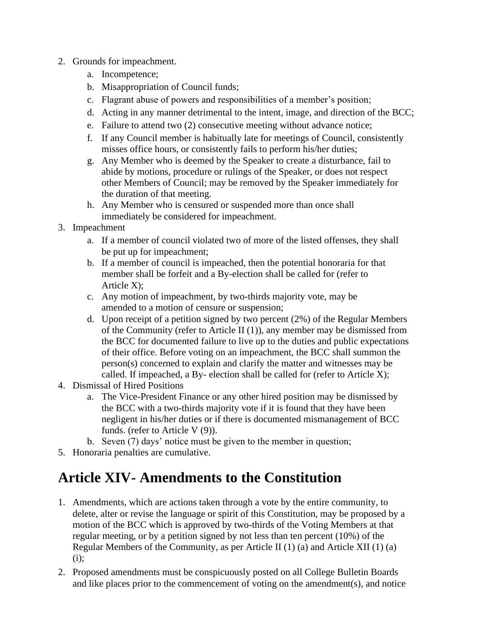- 2. Grounds for impeachment.
	- a. Incompetence;
	- b. Misappropriation of Council funds;
	- c. Flagrant abuse of powers and responsibilities of a member's position;
	- d. Acting in any manner detrimental to the intent, image, and direction of the BCC;
	- e. Failure to attend two (2) consecutive meeting without advance notice;
	- f. If any Council member is habitually late for meetings of Council, consistently misses office hours, or consistently fails to perform his/her duties;
	- g. Any Member who is deemed by the Speaker to create a disturbance, fail to abide by motions, procedure or rulings of the Speaker, or does not respect other Members of Council; may be removed by the Speaker immediately for the duration of that meeting.
	- h. Any Member who is censured or suspended more than once shall immediately be considered for impeachment.
- 3. Impeachment
	- a. If a member of council violated two of more of the listed offenses, they shall be put up for impeachment;
	- b. If a member of council is impeached, then the potential honoraria for that member shall be forfeit and a By-election shall be called for (refer to Article X);
	- c. Any motion of impeachment, by two-thirds majority vote, may be amended to a motion of censure or suspension;
	- d. Upon receipt of a petition signed by two percent (2%) of the Regular Members of the Community (refer to Article II  $(1)$ ), any member may be dismissed from the BCC for documented failure to live up to the duties and public expectations of their office. Before voting on an impeachment, the BCC shall summon the person(s) concerned to explain and clarify the matter and witnesses may be called. If impeached, a By- election shall be called for (refer to Article X);
- 4. Dismissal of Hired Positions
	- a. The Vice-President Finance or any other hired position may be dismissed by the BCC with a two-thirds majority vote if it is found that they have been negligent in his/her duties or if there is documented mismanagement of BCC funds. (refer to Article V (9)).
	- b. Seven (7) days' notice must be given to the member in question;
- 5. Honoraria penalties are cumulative.

### **Article XIV- Amendments to the Constitution**

- 1. Amendments, which are actions taken through a vote by the entire community, to delete, alter or revise the language or spirit of this Constitution, may be proposed by a motion of the BCC which is approved by two-thirds of the Voting Members at that regular meeting, or by a petition signed by not less than ten percent (10%) of the Regular Members of the Community, as per Article II (1) (a) and Article XII (1) (a) (i);
- 2. Proposed amendments must be conspicuously posted on all College Bulletin Boards and like places prior to the commencement of voting on the amendment(s), and notice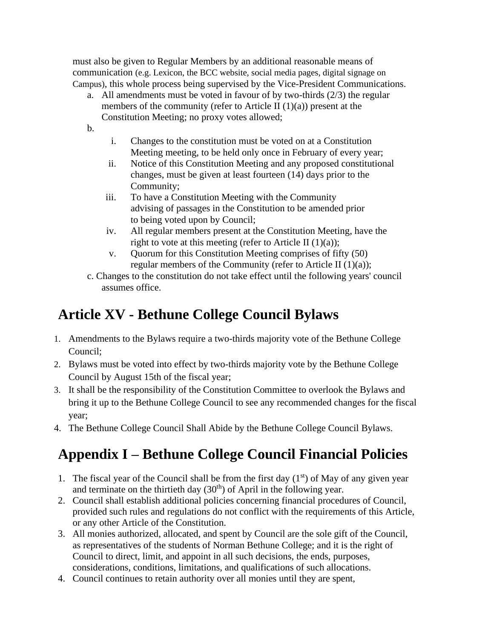must also be given to Regular Members by an additional reasonable means of communication (e.g. Lexicon, the BCC website, social media pages, digital signage on Campus), this whole process being supervised by the Vice-President Communications.

- a. All amendments must be voted in favour of by two-thirds (2/3) the regular members of the community (refer to Article II  $(1)(a)$ ) present at the Constitution Meeting; no proxy votes allowed;
- b.
- i. Changes to the constitution must be voted on at a Constitution Meeting meeting, to be held only once in February of every year;
- ii. Notice of this Constitution Meeting and any proposed constitutional changes, must be given at least fourteen (14) days prior to the Community;
- iii. To have a Constitution Meeting with the Community advising of passages in the Constitution to be amended prior to being voted upon by Council;
- iv. All regular members present at the Constitution Meeting, have the right to vote at this meeting (refer to Article II  $(1)(a)$ );
- v. Quorum for this Constitution Meeting comprises of fifty (50) regular members of the Community (refer to Article II (1)(a));
- c. Changes to the constitution do not take effect until the following years' council assumes office.

# **Article XV - Bethune College Council Bylaws**

- 1. Amendments to the Bylaws require a two-thirds majority vote of the Bethune College Council;
- 2. Bylaws must be voted into effect by two-thirds majority vote by the Bethune College Council by August 15th of the fiscal year;
- 3. It shall be the responsibility of the Constitution Committee to overlook the Bylaws and bring it up to the Bethune College Council to see any recommended changes for the fiscal year;
- 4. The Bethune College Council Shall Abide by the Bethune College Council Bylaws.

# **Appendix I – Bethune College Council Financial Policies**

- 1. The fiscal year of the Council shall be from the first day  $(1<sup>st</sup>)$  of May of any given year and terminate on the thirtieth day  $(30<sup>th</sup>)$  of April in the following year.
- 2. Council shall establish additional policies concerning financial procedures of Council, provided such rules and regulations do not conflict with the requirements of this Article, or any other Article of the Constitution.
- 3. All monies authorized, allocated, and spent by Council are the sole gift of the Council, as representatives of the students of Norman Bethune College; and it is the right of Council to direct, limit, and appoint in all such decisions, the ends, purposes, considerations, conditions, limitations, and qualifications of such allocations.
- 4. Council continues to retain authority over all monies until they are spent,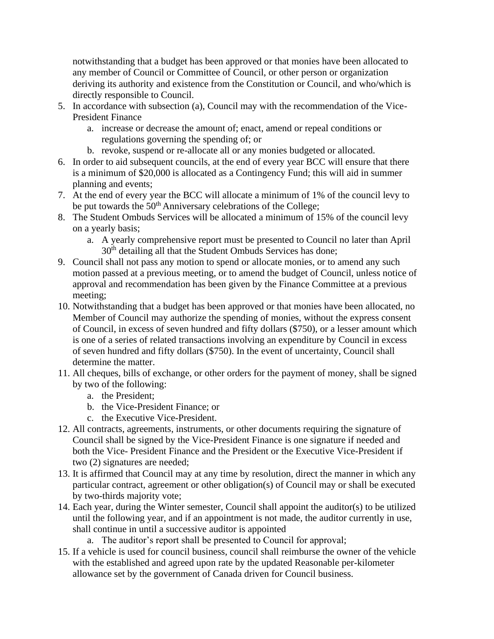notwithstanding that a budget has been approved or that monies have been allocated to any member of Council or Committee of Council, or other person or organization deriving its authority and existence from the Constitution or Council, and who/which is directly responsible to Council.

- 5. In accordance with subsection (a), Council may with the recommendation of the Vice-President Finance
	- a. increase or decrease the amount of; enact, amend or repeal conditions or regulations governing the spending of; or
	- b. revoke, suspend or re-allocate all or any monies budgeted or allocated.
- 6. In order to aid subsequent councils, at the end of every year BCC will ensure that there is a minimum of \$20,000 is allocated as a Contingency Fund; this will aid in summer planning and events;
- 7. At the end of every year the BCC will allocate a minimum of 1% of the council levy to be put towards the 50<sup>th</sup> Anniversary celebrations of the College;
- 8. The Student Ombuds Services will be allocated a minimum of 15% of the council levy on a yearly basis;
	- a. A yearly comprehensive report must be presented to Council no later than April 30<sup>th</sup> detailing all that the Student Ombuds Services has done;
- 9. Council shall not pass any motion to spend or allocate monies, or to amend any such motion passed at a previous meeting, or to amend the budget of Council, unless notice of approval and recommendation has been given by the Finance Committee at a previous meeting;
- 10. Notwithstanding that a budget has been approved or that monies have been allocated, no Member of Council may authorize the spending of monies, without the express consent of Council, in excess of seven hundred and fifty dollars (\$750), or a lesser amount which is one of a series of related transactions involving an expenditure by Council in excess of seven hundred and fifty dollars (\$750). In the event of uncertainty, Council shall determine the matter.
- 11. All cheques, bills of exchange, or other orders for the payment of money, shall be signed by two of the following:
	- a. the President;
	- b. the Vice-President Finance; or
	- c. the Executive Vice-President.
- 12. All contracts, agreements, instruments, or other documents requiring the signature of Council shall be signed by the Vice-President Finance is one signature if needed and both the Vice- President Finance and the President or the Executive Vice-President if two (2) signatures are needed;
- 13. It is affirmed that Council may at any time by resolution, direct the manner in which any particular contract, agreement or other obligation(s) of Council may or shall be executed by two-thirds majority vote;
- 14. Each year, during the Winter semester, Council shall appoint the auditor(s) to be utilized until the following year, and if an appointment is not made, the auditor currently in use, shall continue in until a successive auditor is appointed
	- a. The auditor's report shall be presented to Council for approval;
- 15. If a vehicle is used for council business, council shall reimburse the owner of the vehicle with the established and agreed upon rate by the updated Reasonable per-kilometer allowance set by the government of Canada driven for Council business.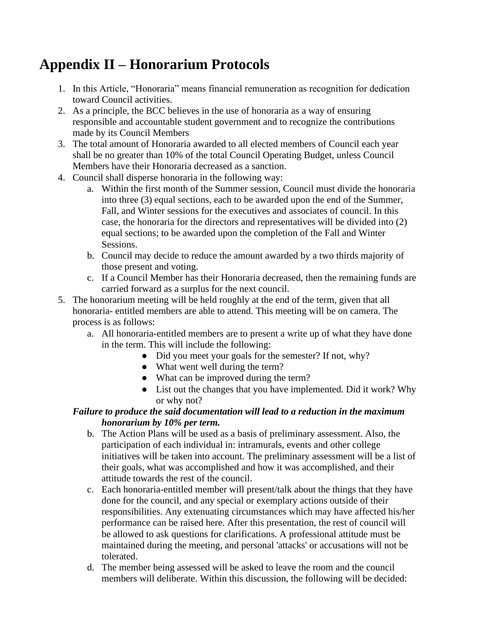### **Appendix II – Honorarium Protocols**

- 1. In this Article, "Honoraria" means financial remuneration as recognition for dedication toward Council activities.
- 2. As a principle, the BCC believes in the use of honoraria as a way of ensuring responsible and accountable student government and to recognize the contributions made by its Council Members
- 3. The total amount of Honoraria awarded to all elected members of Council each year shall be no greater than 10% of the total Council Operating Budget, unless Council Members have their Honoraria decreased as a sanction.
- 4. Council shall disperse honoraria in the following way:
	- a. Within the first month of the Summer session, Council must divide the honoraria into three (3) equal sections, each to be awarded upon the end of the Summer, Fall, and Winter sessions for the executives and associates of council. In this case, the honoraria for the directors and representatives will be divided into (2) equal sections; to be awarded upon the completion of the Fall and Winter Sessions.
	- b. Council may decide to reduce the amount awarded by a two thirds majority of those present and voting.
	- c. If a Council Member has their Honoraria decreased, then the remaining funds are carried forward as a surplus for the next council.
- 5. The honorarium meeting will be held roughly at the end of the term, given that all honoraria- entitled members are able to attend. This meeting will be on camera. The process is as follows:
	- a. All honoraria-entitled members are to present a write up of what they have done in the term. This will include the following:
		- Did you meet your goals for the semester? If not, why?
		- What went well during the term?
		- What can be improved during the term?
		- List out the changes that you have implemented. Did it work? Why or why not?

#### *Failure to produce the said documentation will lead to a reduction in the maximum honorarium by 10% per term.*

- b. The Action Plans will be used as a basis of preliminary assessment. Also, the participation of each individual in: intramurals, events and other college initiatives will be taken into account. The preliminary assessment will be a list of their goals, what was accomplished and how it was accomplished, and their attitude towards the rest of the council.
- c. Each honoraria-entitled member will present/talk about the things that they have done for the council, and any special or exemplary actions outside of their responsibilities. Any extenuating circumstances which may have affected his/her performance can be raised here. After this presentation, the rest of council will be allowed to ask questions for clarifications. A professional attitude must be maintained during the meeting, and personal 'attacks' or accusations will not be tolerated.
- d. The member being assessed will be asked to leave the room and the council members will deliberate. Within this discussion, the following will be decided: